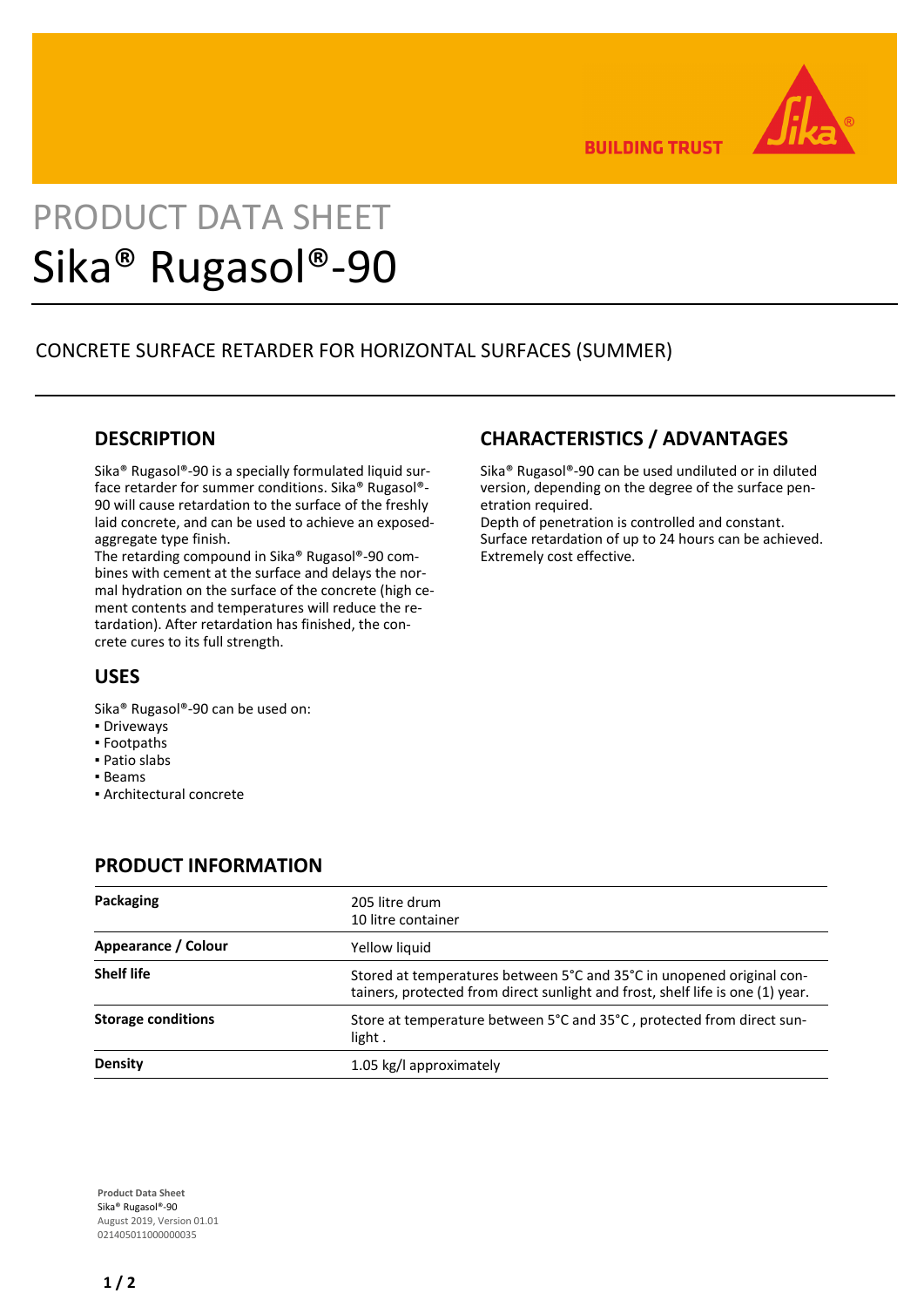

**BUILDING TRUST** 

**CHARACTERISTICS / ADVANTAGES**

Depth of penetration is controlled and constant. Surface retardation of up to 24 hours can be achieved.

etration required.

Extremely cost effective.

Sika® Rugasol®-90 can be used undiluted or in diluted version, depending on the degree of the surface pen-

# PRODUCT DATA SHEET Sika® Rugasol®-90

# CONCRETE SURFACE RETARDER FOR HORIZONTAL SURFACES (SUMMER)

## **DESCRIPTION**

Sika® Rugasol®-90 is a specially formulated liquid surface retarder for summer conditions. Sika® Rugasol®- 90 will cause retardation to the surface of the freshly laid concrete, and can be used to achieve an exposedaggregate type finish.

The retarding compound in Sika® Rugasol®-90 combines with cement at the surface and delays the normal hydration on the surface of the concrete (high cement contents and temperatures will reduce the retardation). After retardation has finished, the concrete cures to its full strength.

# **USES**

- Sika® Rugasol®-90 can be used on:
- Driveways
- Footpaths
- Patio slabs
- Beams
- Architectural concrete

### **PRODUCT INFORMATION**

| Packaging                 | 205 litre drum<br>10 litre container                                                                                                                    |
|---------------------------|---------------------------------------------------------------------------------------------------------------------------------------------------------|
| Appearance / Colour       | Yellow liquid                                                                                                                                           |
| <b>Shelf life</b>         | Stored at temperatures between 5°C and 35°C in unopened original con-<br>tainers, protected from direct sunlight and frost, shelf life is one (1) year. |
| <b>Storage conditions</b> | Store at temperature between 5°C and 35°C, protected from direct sun-<br>light.                                                                         |
| <b>Density</b>            | 1.05 kg/l approximately                                                                                                                                 |

**Product Data Sheet** Sika® Rugasol®-90 August 2019, Version 01.01 021405011000000035